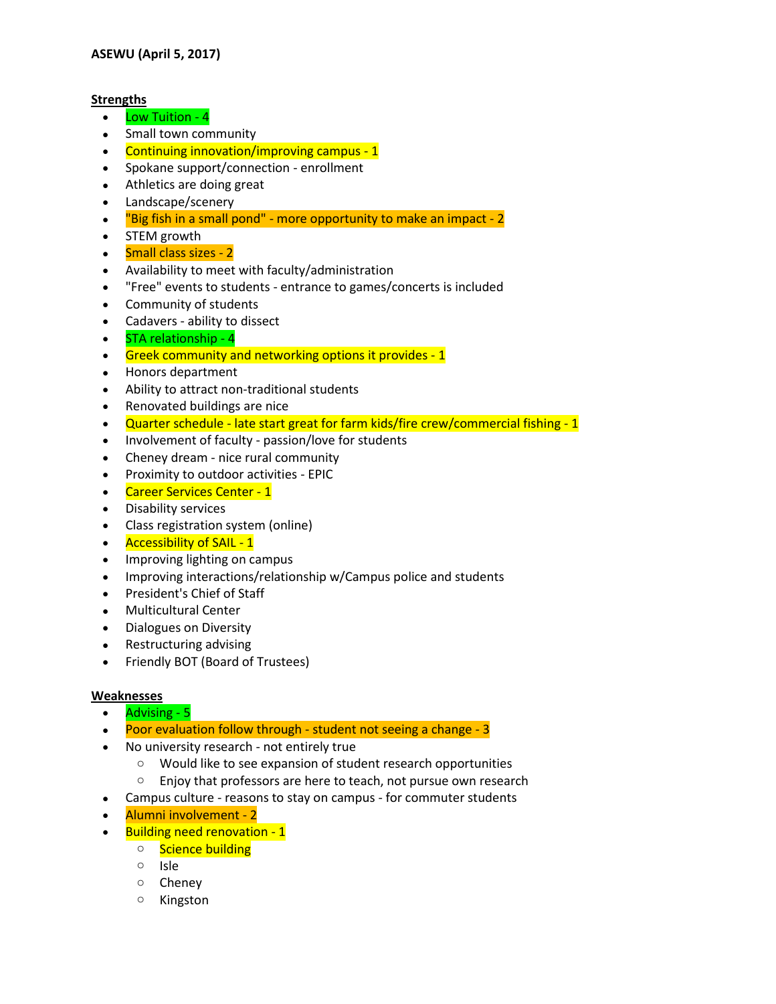## **Strengths**

- Low Tuition 4
- Small town community
- Continuing innovation/improving campus 1
- Spokane support/connection enrollment
- Athletics are doing great
- Landscape/scenery
- $\bullet$  "Big fish in a small pond" more opportunity to make an impact 2
- STEM growth
- Small class sizes 2
- Availability to meet with faculty/administration
- "Free" events to students entrance to games/concerts is included
- Community of students
- Cadavers ability to dissect
- STA relationship 4
- **Greek community and networking options it provides 1**
- Honors department
- Ability to attract non-traditional students
- Renovated buildings are nice
- Quarter schedule late start great for farm kids/fire crew/commercial fishing 1
- Involvement of faculty passion/love for students
- Cheney dream nice rural community
- Proximity to outdoor activities EPIC
- Career Services Center 1
- Disability services
- Class registration system (online)
- Accessibility of SAIL 1
- Improving lighting on campus
- Improving interactions/relationship w/Campus police and students
- President's Chief of Staff
- Multicultural Center
- Dialogues on Diversity
- Restructuring advising
- Friendly BOT (Board of Trustees)

## **Weaknesses**

- Advising 5
- Poor evaluation follow through student not seeing a change 3
- No university research not entirely true
	- o Would like to see expansion of student research opportunities
	- o Enjoy that professors are here to teach, not pursue own research
- Campus culture reasons to stay on campus for commuter students
- Alumni involvement 2
	- Building need renovation 1
		- o Science building
			- o Isle
			- o Cheney
			- o Kingston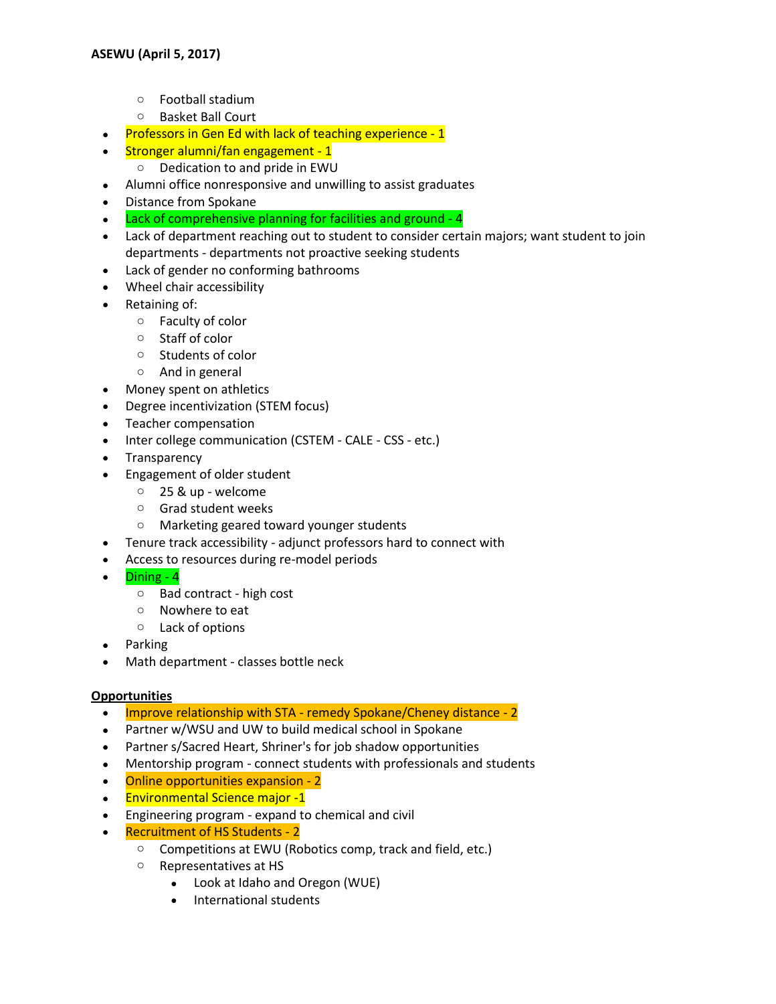- o Football stadium
- o Basket Ball Court
- Professors in Gen Ed with lack of teaching experience 1
- Stronger alumni/fan engagement 1
	- o Dedication to and pride in EWU
- Alumni office nonresponsive and unwilling to assist graduates
- Distance from Spokane
- Lack of comprehensive planning for facilities and ground 4
- Lack of department reaching out to student to consider certain majors; want student to join departments - departments not proactive seeking students
- Lack of gender no conforming bathrooms
- Wheel chair accessibility
- Retaining of:
	- o Faculty of color
	- o Staff of color
	- o Students of color
	- o And in general
- Money spent on athletics
- Degree incentivization (STEM focus)
- Teacher compensation
- Inter college communication (CSTEM CALE CSS etc.)
- Transparency
- Engagement of older student
	- o 25 & up welcome
	- o Grad student weeks
	- o Marketing geared toward younger students
- Tenure track accessibility adjunct professors hard to connect with
- Access to resources during re-model periods
- Dining 4
	- o Bad contract high cost
	- o Nowhere to eat
	- o Lack of options
- Parking
- Math department classes bottle neck

## **Opportunities**

- Improve relationship with STA remedy Spokane/Cheney distance 2
- Partner w/WSU and UW to build medical school in Spokane
- Partner s/Sacred Heart, Shriner's for job shadow opportunities
- Mentorship program connect students with professionals and students
- Online opportunities expansion 2
- Environmental Science major -1
- Engineering program expand to chemical and civil
- Recruitment of HS Students 2
	- o Competitions at EWU (Robotics comp, track and field, etc.)
	- o Representatives at HS
		- Look at Idaho and Oregon (WUE)
		- International students